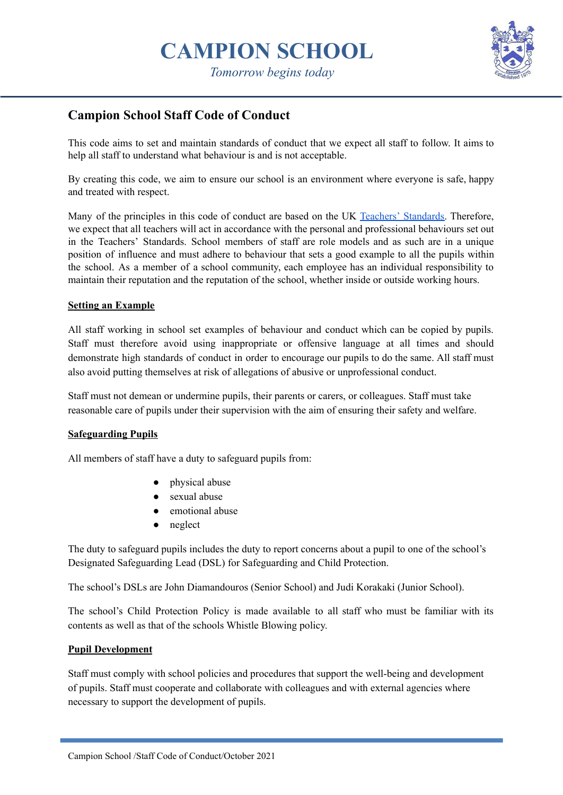

**Campion School Staff Code of Conduct**

This code aims to set and maintain standards of conduct that we expect all staff to follow. It aims to help all staff to understand what behaviour is and is not acceptable.

By creating this code, we aim to ensure our school is an environment where everyone is safe, happy and treated with respect.

Many of the principles in this code of conduct are based on the UK Teachers' [Standards.](https://www.gov.uk/government/publications/teachers-standards) Therefore, we expect that all teachers will act in accordance with the personal and professional behaviours set out in the Teachers' Standards. School members of staff are role models and as such are in a unique position of influence and must adhere to behaviour that sets a good example to all the pupils within the school. As a member of a school community, each employee has an individual responsibility to maintain their reputation and the reputation of the school, whether inside or outside working hours.

# **Setting an Example**

All staff working in school set examples of behaviour and conduct which can be copied by pupils. Staff must therefore avoid using inappropriate or offensive language at all times and should demonstrate high standards of conduct in order to encourage our pupils to do the same. All staff must also avoid putting themselves at risk of allegations of abusive or unprofessional conduct.

Staff must not demean or undermine pupils, their parents or carers, or colleagues. Staff must take reasonable care of pupils under their supervision with the aim of ensuring their safety and welfare.

#### **Safeguarding Pupils**

All members of staff have a duty to safeguard pupils from:

- physical abuse
- sexual abuse
- emotional abuse
- neglect

The duty to safeguard pupils includes the duty to report concerns about a pupil to one of the school's Designated Safeguarding Lead (DSL) for Safeguarding and Child Protection.

The school's DSLs are John Diamandouros (Senior School) and Judi Korakaki (Junior School).

The school's Child Protection Policy is made available to all staff who must be familiar with its contents as well as that of the schools Whistle Blowing policy.

# **Pupil Development**

Staff must comply with school policies and procedures that support the well-being and development of pupils. Staff must cooperate and collaborate with colleagues and with external agencies where necessary to support the development of pupils.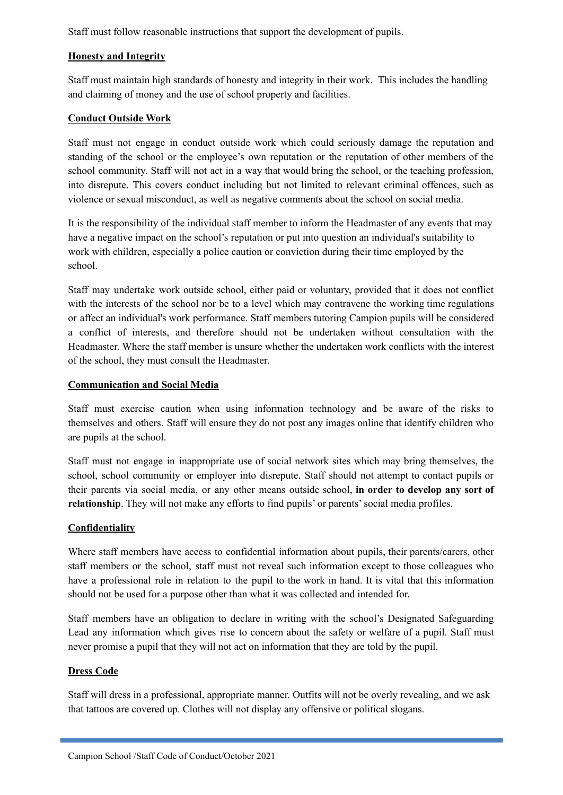Staff must follow reasonable instructions that support the development of pupils.

# **Honesty and Integrity**

Staff must maintain high standards of honesty and integrity in their work. This includes the handling and claiming of money and the use of school property and facilities.

# **Conduct Outside Work**

Staff must not engage in conduct outside work which could seriously damage the reputation and standing of the school or the employee's own reputation or the reputation of other members of the school community. Staff will not act in a way that would bring the school, or the teaching profession, into disrepute. This covers conduct including but not limited to relevant criminal offences, such as violence or sexual misconduct, as well as negative comments about the school on social media.

It is the responsibility of the individual staff member to inform the Headmaster of any events that may have a negative impact on the school's reputation or put into question an individual's suitability to work with children, especially a police caution or conviction during their time employed by the school.

Staff may undertake work outside school, either paid or voluntary, provided that it does not conflict with the interests of the school nor be to a level which may contravene the working time regulations or affect an individual's work performance. Staff members tutoring Campion pupils will be considered a conflict of interests, and therefore should not be undertaken without consultation with the Headmaster. Where the staff member is unsure whether the undertaken work conflicts with the interest of the school, they must consult the Headmaster.

# **Communication and Social Media**

Staff must exercise caution when using information technology and be aware of the risks to themselves and others. Staff will ensure they do not post any images online that identify children who are pupils at the school.

Staff must not engage in inappropriate use of social network sites which may bring themselves, the school, school community or employer into disrepute. Staff should not attempt to contact pupils or their parents via social media, or any other means outside school, **in order to develop any sort of relationship**. They will not make any efforts to find pupils' or parents' social media profiles.

# **Confidentiality**

Where staff members have access to confidential information about pupils, their parents/carers, other staff members or the school, staff must not reveal such information except to those colleagues who have a professional role in relation to the pupil to the work in hand. It is vital that this information should not be used for a purpose other than what it was collected and intended for.

Staff members have an obligation to declare in writing with the school's Designated Safeguarding Lead any information which gives rise to concern about the safety or welfare of a pupil. Staff must never promise a pupil that they will not act on information that they are told by the pupil.

# **Dress Code**

Staff will dress in a professional, appropriate manner. Outfits will not be overly revealing, and we ask that tattoos are covered up. Clothes will not display any offensive or political slogans.